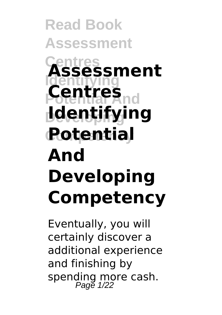# **Read Book Assessment Centres Assessment Identifying Potential And Centres Developing Identifying Rotential<br>And Developing Competency**

Eventually, you will certainly discover a additional experience and finishing by spending more cash. Page 1/22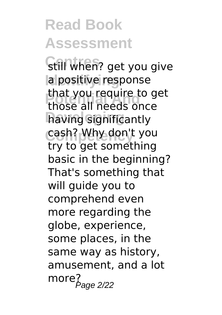**Still when?** get you give **la positive response Potential And** those all needs once having significantly **Competency** cash? Why don't you that you require to get try to get something basic in the beginning? That's something that will guide you to comprehend even more regarding the globe, experience, some places, in the same way as history, amusement, and a lot  $more<sub>Page 2/22</sub>$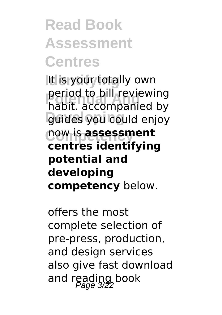### **Read Book Assessment Centres**

**It is your totally own Potential And** habit. accompanied by guides you could enjoy **Competency** now is **assessment** period to bill reviewing **centres identifying potential and developing competency** below.

offers the most complete selection of pre-press, production, and design services also give fast download and reading book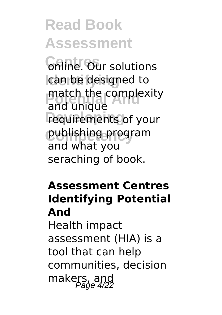*Gnine. Our solutions* can be designed to match the complexity requirements of your **Competency** publishing program and unique and what you seraching of book.

#### **Assessment Centres Identifying Potential And**

Health impact assessment (HIA) is a tool that can help communities, decision makers, and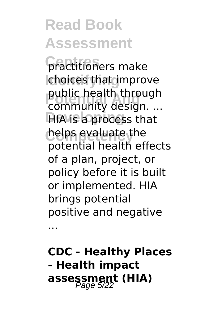**Centres** practitioners make **choices that improve Public health through**<br>
community design **HIA** is a process that **helps evaluate the** community design. ... potential health effects of a plan, project, or policy before it is built or implemented. HIA brings potential positive and negative

...

**CDC - Healthy Places - Health impact assessment (HIA)** Page 5/22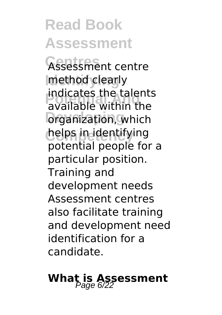Assessment centre **Imethod clearly Potential And** available within the **organization**, which **Competency** helps in identifying indicates the talents potential people for a particular position. Training and development needs Assessment centres also facilitate training and development need identification for a candidate.

# **What is Assessment**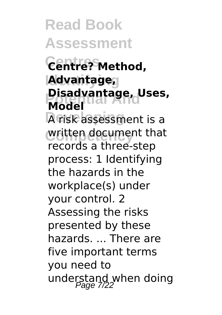**Read Book Assessment Centres Centre? Method, Identifying Advantage, Pisadvantage, Uses,**<br>Model **Developing** A risk assessment is a written document that **Model** records a three-step process: 1 Identifying the hazards in the workplace(s) under your control. 2 Assessing the risks presented by these hazards ... There are five important terms you need to understand when doing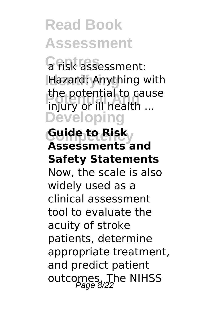**Centres** a risk assessment: **Identifying** Hazard: Anything with **Potential And** injury or ill health ... **Developing** the potential to cause

#### $G$ uide to Bisk<sub>y</sub> **Assessments and Safety Statements**

Now, the scale is also widely used as a clinical assessment tool to evaluate the acuity of stroke patients, determine appropriate treatment, and predict patient outcomes. The NIHSS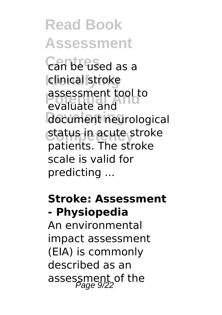**Centres** can be used as a **Idinical** stroke **Possessment tool to** document neurological **status in acute stroke** evaluate and patients. The stroke scale is valid for predicting ...

#### **Stroke: Assessment - Physiopedia**

An environmental impact assessment (EIA) is commonly described as an assessment of the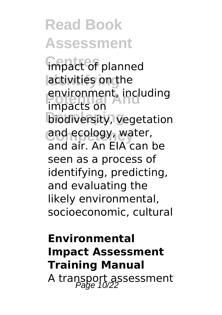**impact of planned Identifying** activities on the *<u>environment</u>*, including<br>impacts on **biodiversity, vegetation** and ecology, water, impacts on and air. An EIA can be seen as a process of identifying, predicting, and evaluating the likely environmental, socioeconomic, cultural

### **Environmental Impact Assessment Training Manual** A transport assessment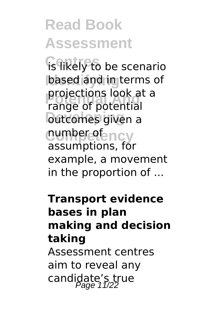**is likely to be scenario based and in terms of Potential And** range of potential **Dutcomes** given a **cumhpetency** projections look at a assumptions, for example, a movement in the proportion of ...

#### **Transport evidence bases in plan making and decision taking**

Assessment centres aim to reveal any candidate's true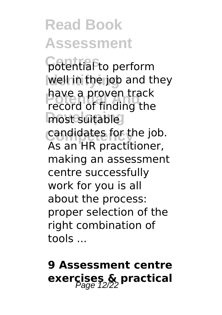**Potential to perform** well in the job and they **Potential Andrew Andrew Track**<br>**Potential Andrew Track** most suitable candidates for the job. have a proven track As an HR practitioner, making an assessment centre successfully work for you is all about the process: proper selection of the right combination of tools ...

### **9 Assessment centre exercises & practical**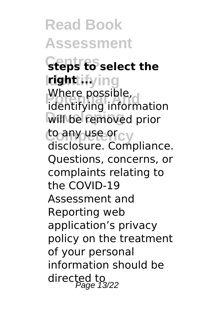**Read Book Assessment Centres steps to select the Identifying right ... vinere possible,<br>identifying information Will be removed prior compusedicy** Where possible, disclosure. Compliance. Questions, concerns, or complaints relating to the COVID-19 Assessment and Reporting web application's privacy policy on the treatment of your personal information should be directed to<br>Page 13/22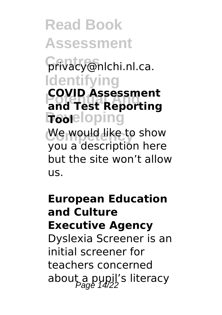**Centres** privacy@nlchi.nl.ca. **Identifying Potential And and Test Reporting Fooeloping COVID Assessment**

We would like to show you a description here but the site won't allow us.

**European Education and Culture Executive Agency** Dyslexia Screener is an initial screener for teachers concerned about a pupil's literacy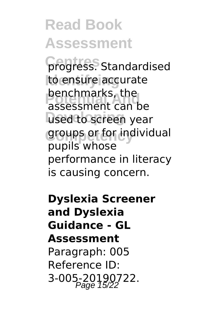**Crogress**. Standardised **Identifying** to ensure accurate **benchmarks, the** used to screen year **Competency** groups or for individual assessment can be pupils whose performance in literacy is causing concern.

**Dyslexia Screener and Dyslexia Guidance - GL Assessment** Paragraph: 005 Reference ID: 3-005-20190722.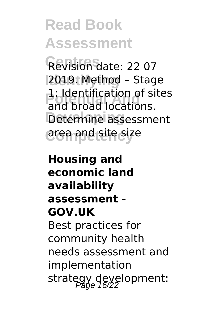**Centres** Revision date: 22 07 **Identifying** 2019. Method – Stage **Potential And** and broad locations. Determine assessment **Competency** area and site size 1: Identification of sites

#### **Housing and economic land availability assessment - GOV.UK**

Best practices for community health needs assessment and implementation strategy development: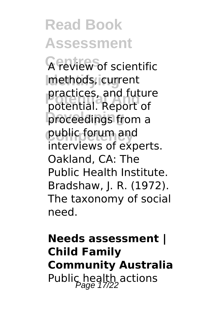**A review of scientific Identifying** methods, current **Potential And** potential. Report of proceedings from a **Competency** public forum and practices, and future interviews of experts. Oakland, CA: The Public Health Institute. Bradshaw, J. R. (1972). The taxonomy of social need.

### **Needs assessment | Child Family Community Australia** Public health actions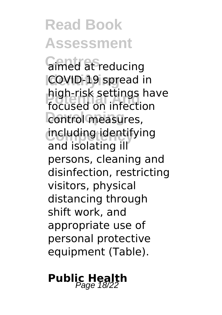**Gimed at reducing COVID-19 spread in Potential Anders**<br>focused on infection *<u>Control</u>* measures, **Competency** including identifying high-risk settings have and isolating ill persons, cleaning and disinfection, restricting visitors, physical distancing through shift work, and appropriate use of personal protective equipment (Table).

### **Public Health** Page 18/22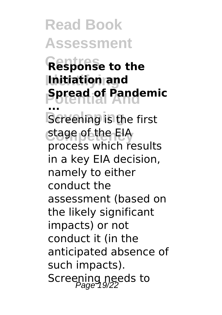**Centres Response to the Identifying Initiation and Potential And Spread of Pandemic Screening** is the first **Competency** stage of the EIA **...** process which results in a key EIA decision, namely to either conduct the assessment (based on the likely significant impacts) or not conduct it (in the anticipated absence of such impacts). Screening needs to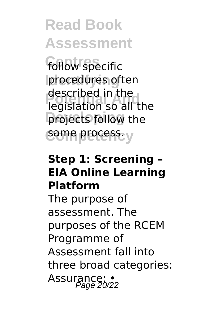follow specific **procedures** often **Potential And** legislation so all the **projects follow the** same process. y described in the

#### **Step 1: Screening – EIA Online Learning Platform**

The purpose of assessment. The purposes of the RCEM Programme of Assessment fall into three broad categories: Assurance: •<br>Page 20/22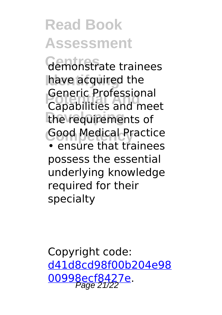Gemonstrate trainees have acquired the **Potential And** Capabilities and meet the requirements of **Good Medical Practice** Generic Professional • ensure that trainees

possess the essential underlying knowledge required for their specialty

Copyright code: [d41d8cd98f00b204e98](/sitemap.xml) [00998ecf8427e.](/sitemap.xml) Page 21/22